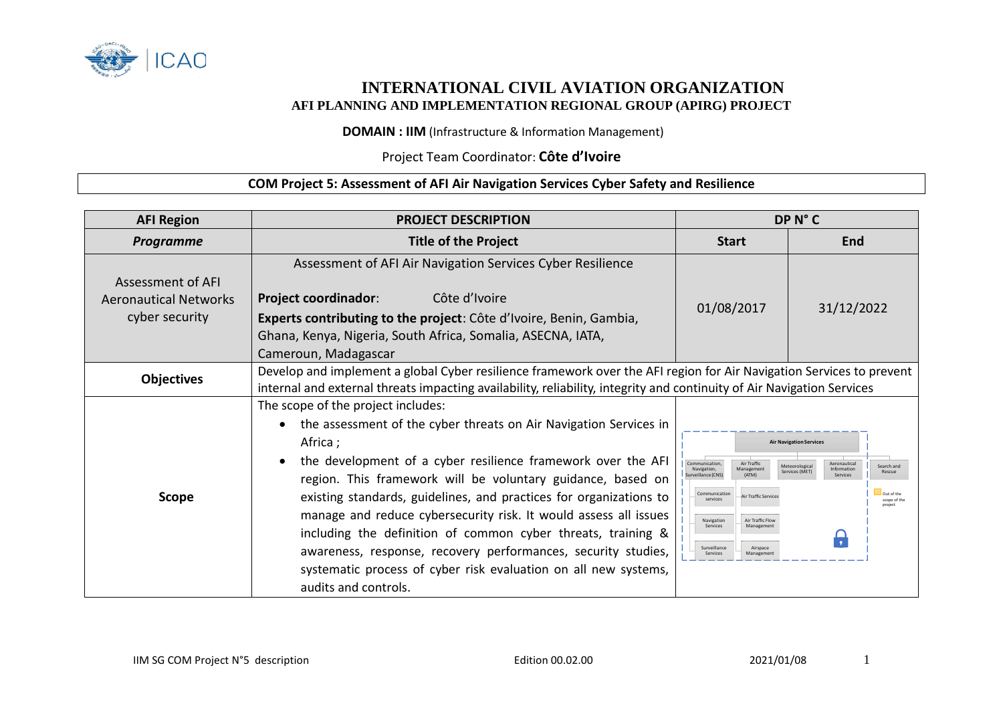

## **INTERNATIONAL CIVIL AVIATION ORGANIZATION AFI PLANNING AND IMPLEMENTATION REGIONAL GROUP (APIRG) PROJECT**

**DOMAIN : IIM** (Infrastructure & Information Management)

## Project Team Coordinator: **Côte d'Ivoire**

## **COM Project 5: Assessment of AFI Air Navigation Services Cyber Safety and Resilience**

| <b>AFI Region</b>                                                   | <b>PROJECT DESCRIPTION</b>                                                                                                                                                                                                                                                                                                                                                                                                                                                                                                                                                                                                                         | DP N°C                                                                                                                                                                                                                                                                |                                                                                                                                                                   |
|---------------------------------------------------------------------|----------------------------------------------------------------------------------------------------------------------------------------------------------------------------------------------------------------------------------------------------------------------------------------------------------------------------------------------------------------------------------------------------------------------------------------------------------------------------------------------------------------------------------------------------------------------------------------------------------------------------------------------------|-----------------------------------------------------------------------------------------------------------------------------------------------------------------------------------------------------------------------------------------------------------------------|-------------------------------------------------------------------------------------------------------------------------------------------------------------------|
| <b>Programme</b>                                                    | <b>Title of the Project</b>                                                                                                                                                                                                                                                                                                                                                                                                                                                                                                                                                                                                                        | <b>Start</b>                                                                                                                                                                                                                                                          | End                                                                                                                                                               |
| Assessment of AFI<br><b>Aeronautical Networks</b><br>cyber security | Assessment of AFI Air Navigation Services Cyber Resilience<br><b>Project coordinador:</b><br>Côte d'Ivoire<br>Experts contributing to the project: Côte d'Ivoire, Benin, Gambia,<br>Ghana, Kenya, Nigeria, South Africa, Somalia, ASECNA, IATA,<br>Cameroun, Madagascar                                                                                                                                                                                                                                                                                                                                                                            | 01/08/2017                                                                                                                                                                                                                                                            | 31/12/2022                                                                                                                                                        |
| <b>Objectives</b>                                                   | Develop and implement a global Cyber resilience framework over the AFI region for Air Navigation Services to prevent<br>internal and external threats impacting availability, reliability, integrity and continuity of Air Navigation Services                                                                                                                                                                                                                                                                                                                                                                                                     |                                                                                                                                                                                                                                                                       |                                                                                                                                                                   |
| <b>Scope</b>                                                        | The scope of the project includes:<br>the assessment of the cyber threats on Air Navigation Services in<br>$\bullet$<br>Africa ;<br>the development of a cyber resilience framework over the AFI<br>$\bullet$<br>region. This framework will be voluntary guidance, based on<br>existing standards, guidelines, and practices for organizations to<br>manage and reduce cybersecurity risk. It would assess all issues<br>including the definition of common cyber threats, training &<br>awareness, response, recovery performances, security studies,<br>systematic process of cyber risk evaluation on all new systems,<br>audits and controls. | Communication.<br>Air Traffic<br>Navigation,<br>Management<br>(ATM)<br>urveillance (CNS)<br>Communicatio<br><b>Air Traffic Services</b><br>services<br>Navigation<br>Air Traffic Flow<br>Services<br>Management<br>Surveillance<br>Airspace<br>Services<br>Management | <b>Air Navigation Services</b><br>Aeronautical<br>Search and<br>Meteorologica<br>Information<br>Services (MET)<br>Rescue<br>Services<br>Out of the<br>cope of the |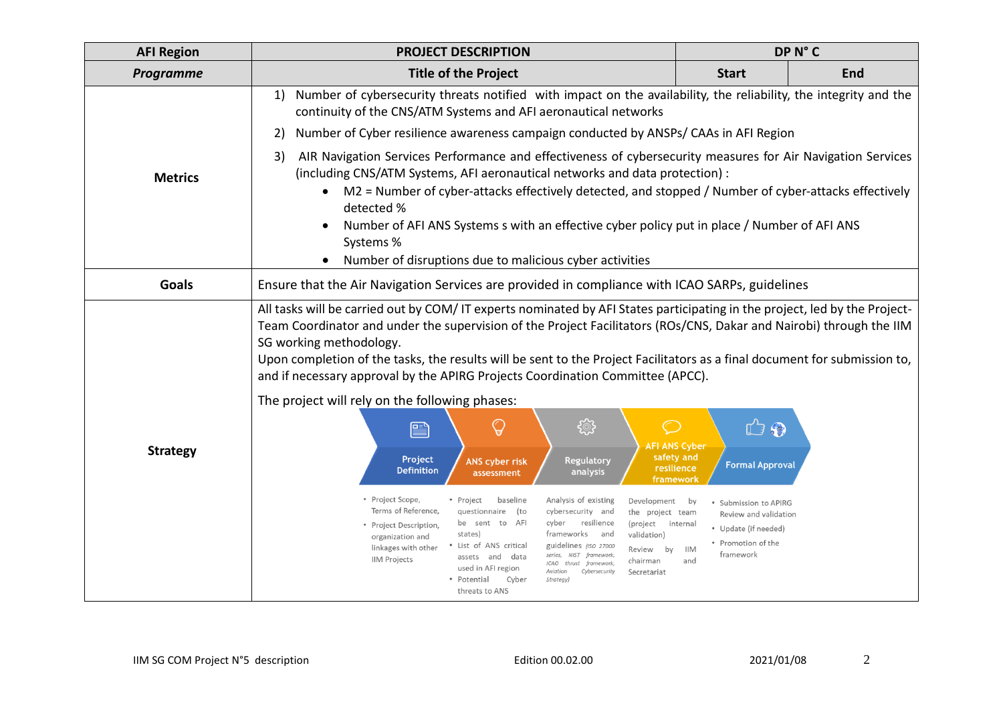| <b>AFI Region</b>                              | <b>PROJECT DESCRIPTION</b>                                                                                                                                                                                                                                                                                                                                                                                                                                                                                                                                                                                                                                                                                                                  | DP N°C                                                                                                                                     |            |  |  |  |
|------------------------------------------------|---------------------------------------------------------------------------------------------------------------------------------------------------------------------------------------------------------------------------------------------------------------------------------------------------------------------------------------------------------------------------------------------------------------------------------------------------------------------------------------------------------------------------------------------------------------------------------------------------------------------------------------------------------------------------------------------------------------------------------------------|--------------------------------------------------------------------------------------------------------------------------------------------|------------|--|--|--|
| Programme                                      | <b>Title of the Project</b>                                                                                                                                                                                                                                                                                                                                                                                                                                                                                                                                                                                                                                                                                                                 | <b>Start</b>                                                                                                                               | <b>End</b> |  |  |  |
| <b>Metrics</b>                                 | Number of cybersecurity threats notified with impact on the availability, the reliability, the integrity and the<br>1)<br>continuity of the CNS/ATM Systems and AFI aeronautical networks<br>Number of Cyber resilience awareness campaign conducted by ANSPS/ CAAs in AFI Region<br>2)<br>AIR Navigation Services Performance and effectiveness of cybersecurity measures for Air Navigation Services<br>3)<br>(including CNS/ATM Systems, AFI aeronautical networks and data protection) :<br>M2 = Number of cyber-attacks effectively detected, and stopped / Number of cyber-attacks effectively<br>detected %<br>Number of AFI ANS Systems s with an effective cyber policy put in place / Number of AFI ANS<br>$\bullet$<br>Systems % |                                                                                                                                            |            |  |  |  |
|                                                | Number of disruptions due to malicious cyber activities                                                                                                                                                                                                                                                                                                                                                                                                                                                                                                                                                                                                                                                                                     |                                                                                                                                            |            |  |  |  |
| Goals                                          | Ensure that the Air Navigation Services are provided in compliance with ICAO SARPs, guidelines                                                                                                                                                                                                                                                                                                                                                                                                                                                                                                                                                                                                                                              |                                                                                                                                            |            |  |  |  |
|                                                | All tasks will be carried out by COM/IT experts nominated by AFI States participating in the project, led by the Project-<br>Team Coordinator and under the supervision of the Project Facilitators (ROs/CNS, Dakar and Nairobi) through the IIM<br>SG working methodology.<br>Upon completion of the tasks, the results will be sent to the Project Facilitators as a final document for submission to,<br>and if necessary approval by the APIRG Projects Coordination Committee (APCC).                                                                                                                                                                                                                                                  |                                                                                                                                            |            |  |  |  |
| The project will rely on the following phases: |                                                                                                                                                                                                                                                                                                                                                                                                                                                                                                                                                                                                                                                                                                                                             |                                                                                                                                            |            |  |  |  |
| <b>Strategy</b>                                | <b>्</b><br>${\mathbb Q}$<br>$\circlearrowright$<br>e<br>Project<br><b>Regulatory</b><br><b>ANS cyber risk</b><br><b>Definition</b><br>analysis<br>assessment<br>framework                                                                                                                                                                                                                                                                                                                                                                                                                                                                                                                                                                  | 山田<br><b>AFI ANS Cyber</b><br>safety and<br><b>Formal Approval</b><br>resilience                                                           |            |  |  |  |
|                                                | • Project Scope,<br>Analysis of existing<br>baseline<br>• Project<br>Development by<br>Terms of Reference,<br>cybersecurity and<br>questionnaire<br>(to<br>the project team<br>be sent to AFI<br>cyber resilience<br>(project<br>• Project Description,<br>frameworks<br>and<br>states)<br>validation)<br>organization and<br>• List of ANS critical<br>guidelines (ISO 27000<br>linkages with other<br>Review by<br>series, NIST framework,<br>assets and<br>data<br><b>IIM Projects</b><br>chairman<br>ICAO thrust framework,<br>used in AFI region<br>Aviation<br>Cybersecurity<br>Secretariat<br>• Potential<br>Cyber<br>Strategy)<br>threats to ANS                                                                                    | · Submission to APIRG<br>Review and validation<br>internal<br>• Update (if needed)<br>• Promotion of the<br><b>IIM</b><br>framework<br>and |            |  |  |  |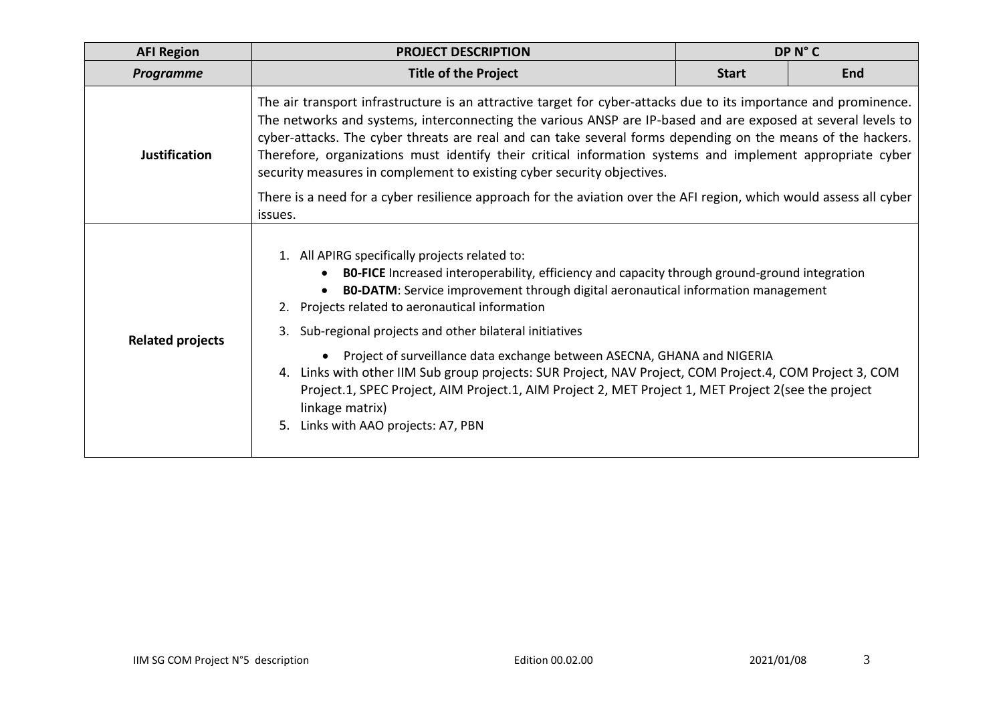| <b>AFI Region</b>       | <b>PROJECT DESCRIPTION</b>                                                                                                                                                                                                                                                                                                                                                                                                                                                                                                                                                                                                                                                                                                      | DP N°C       |            |  |  |  |
|-------------------------|---------------------------------------------------------------------------------------------------------------------------------------------------------------------------------------------------------------------------------------------------------------------------------------------------------------------------------------------------------------------------------------------------------------------------------------------------------------------------------------------------------------------------------------------------------------------------------------------------------------------------------------------------------------------------------------------------------------------------------|--------------|------------|--|--|--|
| <b>Programme</b>        | <b>Title of the Project</b>                                                                                                                                                                                                                                                                                                                                                                                                                                                                                                                                                                                                                                                                                                     | <b>Start</b> | <b>End</b> |  |  |  |
| <b>Justification</b>    | The air transport infrastructure is an attractive target for cyber-attacks due to its importance and prominence.<br>The networks and systems, interconnecting the various ANSP are IP-based and are exposed at several levels to<br>cyber-attacks. The cyber threats are real and can take several forms depending on the means of the hackers.<br>Therefore, organizations must identify their critical information systems and implement appropriate cyber<br>security measures in complement to existing cyber security objectives.<br>There is a need for a cyber resilience approach for the aviation over the AFI region, which would assess all cyber<br>issues.                                                         |              |            |  |  |  |
| <b>Related projects</b> | 1. All APIRG specifically projects related to:<br><b>BO-FICE</b> Increased interoperability, efficiency and capacity through ground-ground integration<br><b>BO-DATM:</b> Service improvement through digital aeronautical information management<br>2. Projects related to aeronautical information<br>Sub-regional projects and other bilateral initiatives<br>3.<br>• Project of surveillance data exchange between ASECNA, GHANA and NIGERIA<br>4. Links with other IIM Sub group projects: SUR Project, NAV Project, COM Project.4, COM Project 3, COM<br>Project.1, SPEC Project, AIM Project.1, AIM Project 2, MET Project 1, MET Project 2(see the project<br>linkage matrix)<br>Links with AAO projects: A7, PBN<br>5. |              |            |  |  |  |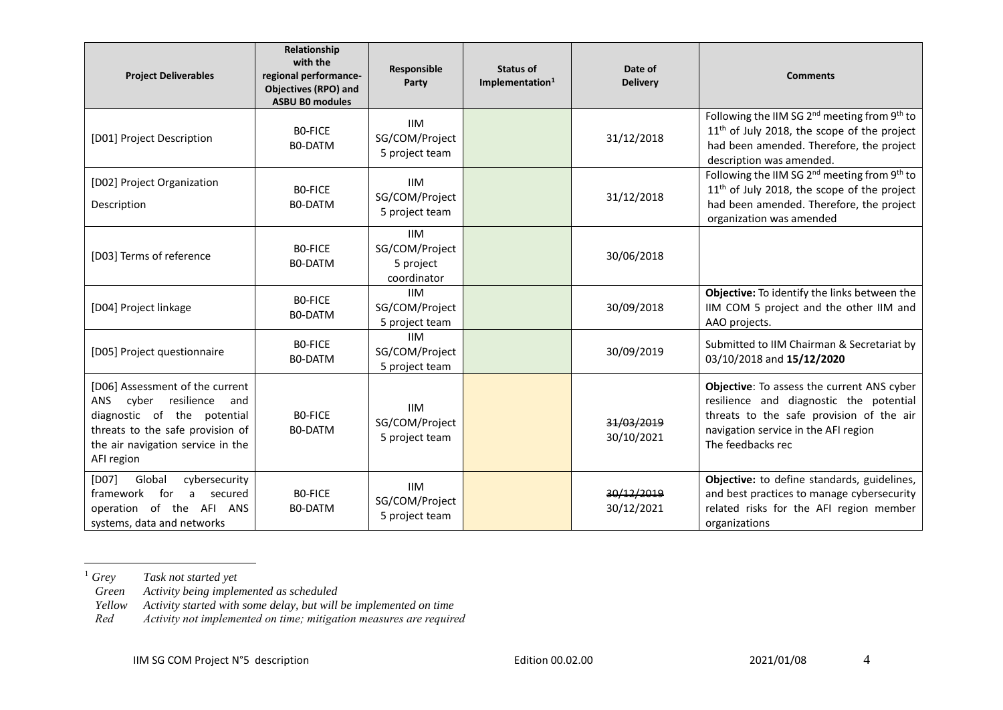| <b>Project Deliverables</b>                                                                                                                                                                    | Relationship<br>with the<br>regional performance-<br><b>Objectives (RPO) and</b><br><b>ASBU B0 modules</b> | Responsible<br>Party                                     | Status of<br>Implementation <sup>1</sup> | Date of<br><b>Delivery</b> | <b>Comments</b>                                                                                                                                                                                |
|------------------------------------------------------------------------------------------------------------------------------------------------------------------------------------------------|------------------------------------------------------------------------------------------------------------|----------------------------------------------------------|------------------------------------------|----------------------------|------------------------------------------------------------------------------------------------------------------------------------------------------------------------------------------------|
| [D01] Project Description                                                                                                                                                                      | BO-FICE<br>B0-DATM                                                                                         | <b>IIM</b><br>SG/COM/Project<br>5 project team           |                                          | 31/12/2018                 | Following the IIM SG 2 <sup>nd</sup> meeting from 9 <sup>th</sup> to<br>$11th$ of July 2018, the scope of the project<br>had been amended. Therefore, the project<br>description was amended.  |
| [D02] Project Organization<br>Description                                                                                                                                                      | <b>BO-FICE</b><br>BO-DATM                                                                                  | <b>IIM</b><br>SG/COM/Project<br>5 project team           |                                          | 31/12/2018                 | Following the IIM SG $2^{nd}$ meeting from $9^{th}$ to<br>11 <sup>th</sup> of July 2018, the scope of the project<br>had been amended. Therefore, the project<br>organization was amended      |
| [D03] Terms of reference                                                                                                                                                                       | <b>BO-FICE</b><br><b>BO-DATM</b>                                                                           | <b>IIM</b><br>SG/COM/Project<br>5 project<br>coordinator |                                          | 30/06/2018                 |                                                                                                                                                                                                |
| [D04] Project linkage                                                                                                                                                                          | BO-FICE<br>B0-DATM                                                                                         | <b>IIM</b><br>SG/COM/Project<br>5 project team           |                                          | 30/09/2018                 | Objective: To identify the links between the<br>IIM COM 5 project and the other IIM and<br>AAO projects.                                                                                       |
| [D05] Project questionnaire                                                                                                                                                                    | BO-FICE<br><b>BO-DATM</b>                                                                                  | <b>IIM</b><br>SG/COM/Project<br>5 project team           |                                          | 30/09/2019                 | Submitted to IIM Chairman & Secretariat by<br>03/10/2018 and 15/12/2020                                                                                                                        |
| [D06] Assessment of the current<br>cyber resilience<br><b>ANS</b><br>and<br>diagnostic of the potential<br>threats to the safe provision of<br>the air navigation service in the<br>AFI region | BO-FICE<br><b>BO-DATM</b>                                                                                  | <b>IIM</b><br>SG/COM/Project<br>5 project team           |                                          | 31/03/2019<br>30/10/2021   | Objective: To assess the current ANS cyber<br>resilience and diagnostic the potential<br>threats to the safe provision of the air<br>navigation service in the AFI region<br>The feedbacks rec |
| [DO7]<br>Global<br>cybersecurity<br>framework<br>for<br>a.<br>secured<br>operation of the AFI ANS<br>systems, data and networks                                                                | BO-FICE<br><b>BO-DATM</b>                                                                                  | <b>IIM</b><br>SG/COM/Project<br>5 project team           |                                          | 30/12/2019<br>30/12/2021   | Objective: to define standards, guidelines,<br>and best practices to manage cybersecurity<br>related risks for the AFI region member<br>organizations                                          |

<sup>1</sup> *Grey Task not started yet* 

*Green Activity being implemented as scheduled* 

*Yellow Activity started with some delay, but will be implemented on time*

*Red Activity not implemented on time; mitigation measures are required*